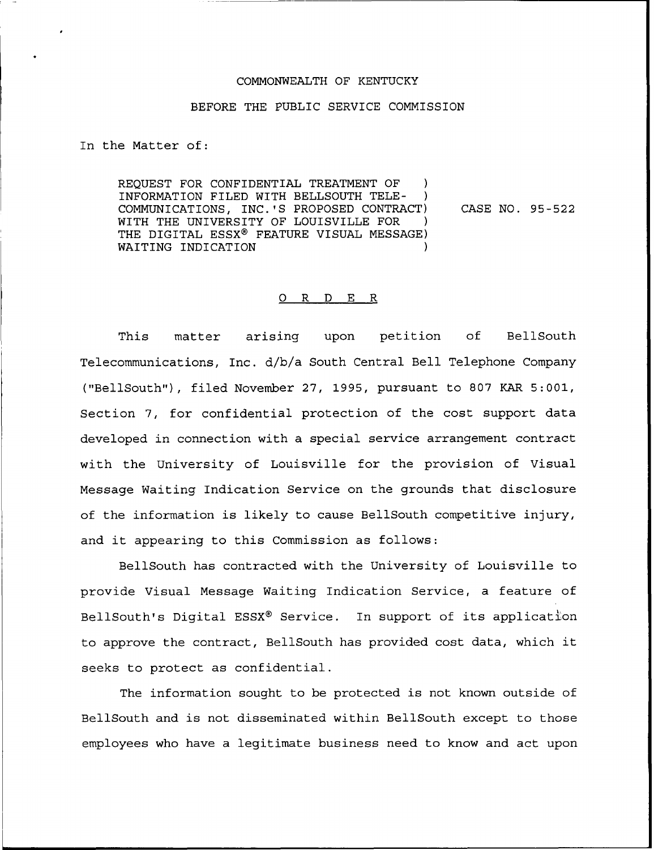## COMMONWEALTH OF KENTUCKY

## BEFORE THE PUBLIC SERVICE COMMISSION

In the Matter of:

REQUEST FOR CONFIDENTIAL TREATMENT OF INFORMATION FILED WITH BELLSOUTH TELE- ) COMMUNICATIONS, INC.'S PROPOSED CONTRACT) WITH THE UNIVERSITY OF LOUISVILLE FOR THE DIGITAL ESSX® FEATURE VISUAL MESSAGE) WAITING INDICATION CASE NO. 95-522

## 0 R <sup>D</sup> E R

This matter arising upon petition of BellSouth Telecommunications, Inc. d/b/a South Central Bell Telephone Company ("BellSouth"), filed November 27, 1995, pursuant to 807 KAR 5:001, Section 7, for confidential protection of the cost support data developed in connection with a special service arrangement contract with the University of Louisville for the provision of Visual Message Waiting Indication Service on the grounds that disclosure of the information is likely to cause BellSouth competitive injury, and it appearing to this Commission as follows:

BellSouth has contracted with the University of Louisville to provide Visual Message Waiting Indication Service, a feature of BellSouth's Digital ESSX® Service. In support of its application to approve the contract, BellSouth has provided cost data, which it seeks to protect as confidential.

The information sought to be protected is not known outside of BellSouth and is not disseminated within BellSouth except to those employees who have a legitimate business need to know and act upon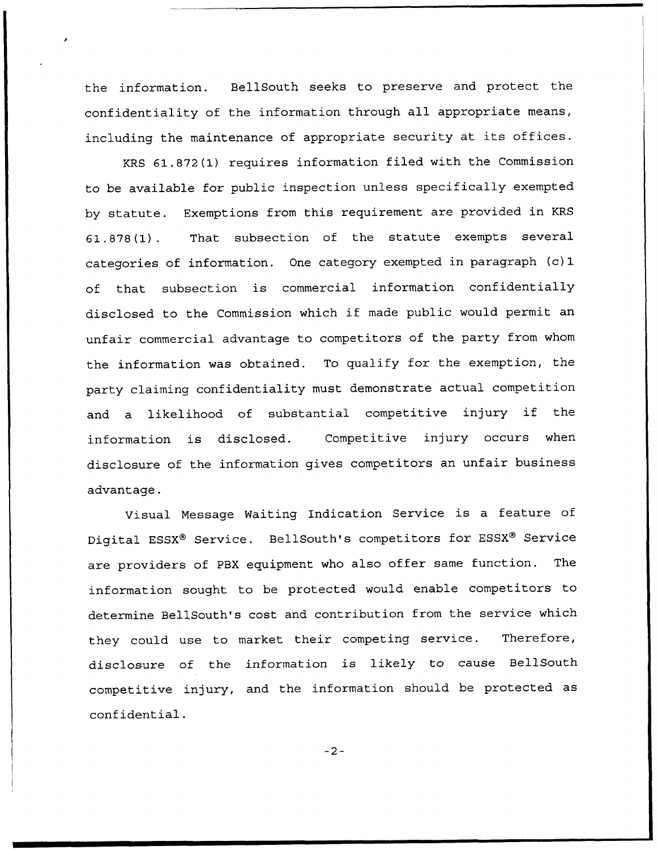the information. BellSouth seeks to preserve and protect the confidentiality of the information through all appropriate means, including the maintenance of appropriate security at its offices.

KRS 61.872(1) requires information filed with the Commission to be available for public inspection unless specifically exempted by statute. Exemptions from this requirement are provided in KRS 61.878(1). That subsection of the statute exempts several categories of information. One category exempted in paragraph (c) 1 of that subsection is commercial information confidentially disclosed to the Commission which if made public would permit an unfair commercial advantage to competitors of the party from whom the information was obtained. To qualify for the exemption, the party claiming confidentiality must demonstrate actual competition and <sup>a</sup> likelihood of substantial competitive injury if the information is disclosed. Competitive injury occurs when disclosure of the information gives competitors an unfair business advantage.

Visual Message Waiting Indication Service is <sup>a</sup> feature of Digital ESSX® Service. BellSouth's competitors for ESSX® Service are providers of PBX equipment who also offer same function. The information sought to be protected would enable competitors to determine BellSouth's cost and contribution from the service which they could use to market their competing service. Therefore, disclosure of the information is likely to cause BellSouth competitive injury, and the information should be protected as confidential.

 $-2-$